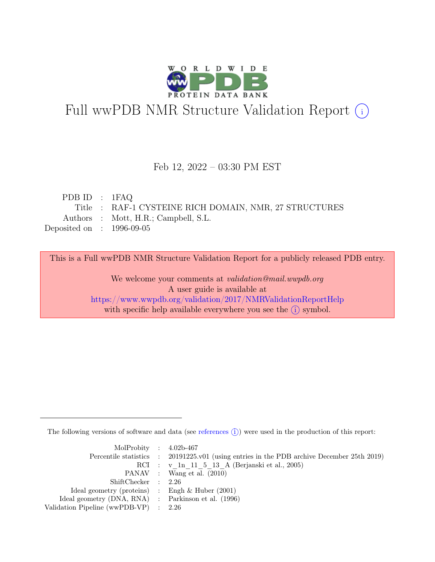

# Full wwPDB NMR Structure Validation Report (i)

## Feb 12, 2022 – 03:30 PM EST

| PDBID : 1FAQ                |                                                        |
|-----------------------------|--------------------------------------------------------|
|                             | Title : RAF-1 CYSTEINE RICH DOMAIN, NMR, 27 STRUCTURES |
|                             | Authors : Mott, H.R.; Campbell, S.L.                   |
| Deposited on : $1996-09-05$ |                                                        |

This is a Full wwPDB NMR Structure Validation Report for a publicly released PDB entry.

We welcome your comments at *validation@mail.wwpdb.org* A user guide is available at <https://www.wwpdb.org/validation/2017/NMRValidationReportHelp> with specific help available everywhere you see the  $(i)$  symbol.

The following versions of software and data (see [references](https://www.wwpdb.org/validation/2017/NMRValidationReportHelp#references)  $\hat{I}$ ) were used in the production of this report:

| MolProbity : $4.02b-467$                            |                                                                                            |
|-----------------------------------------------------|--------------------------------------------------------------------------------------------|
|                                                     | Percentile statistics : 20191225.v01 (using entries in the PDB archive December 25th 2019) |
|                                                     | RCI : v 1n 11 5 13 A (Berjanski et al., 2005)                                              |
|                                                     | PANAV : Wang et al. (2010)                                                                 |
| ShiftChecker : 2.26                                 |                                                                                            |
| Ideal geometry (proteins) : Engh $\&$ Huber (2001)  |                                                                                            |
| Ideal geometry (DNA, RNA) : Parkinson et al. (1996) |                                                                                            |
| Validation Pipeline (wwPDB-VP) $\therefore$ 2.26    |                                                                                            |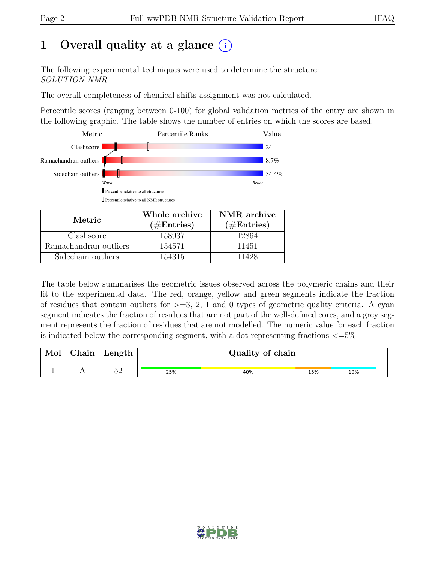## 1 Overall quality at a glance  $(i)$

The following experimental techniques were used to determine the structure: SOLUTION NMR

The overall completeness of chemical shifts assignment was not calculated.

Percentile scores (ranging between 0-100) for global validation metrics of the entry are shown in the following graphic. The table shows the number of entries on which the scores are based.



| Metric.               | Whole archive<br>$(\# \text{Entries})$ | NMR archive<br>$(\#Entries)$ |  |
|-----------------------|----------------------------------------|------------------------------|--|
| Clashscore            | 158937                                 | 12864                        |  |
| Ramachandran outliers | 154571                                 | 11451                        |  |
| Sidechain outliers    | 154315                                 | 11428                        |  |

The table below summarises the geometric issues observed across the polymeric chains and their fit to the experimental data. The red, orange, yellow and green segments indicate the fraction of residues that contain outliers for  $>=$  3, 2, 1 and 0 types of geometric quality criteria. A cyan segment indicates the fraction of residues that are not part of the well-defined cores, and a grey segment represents the fraction of residues that are not modelled. The numeric value for each fraction is indicated below the corresponding segment, with a dot representing fractions  $\epsilon = 5\%$ 

| Mol | $\perp$ Chain $\perp$ | $\perp$ Length $\perp$ | Quality of chain |     |     |     |  |
|-----|-----------------------|------------------------|------------------|-----|-----|-----|--|
|     |                       | ピロ                     | 25%              | 40% | 15% | 19% |  |

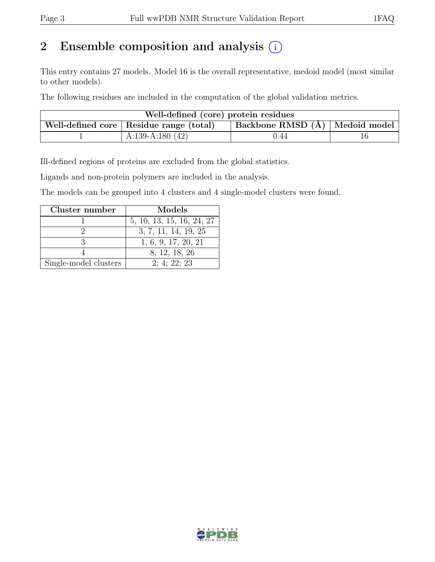## 2 Ensemble composition and analysis  $(i)$

This entry contains 27 models. Model 16 is the overall representative, medoid model (most similar to other models).

The following residues are included in the computation of the global validation metrics.

| Well-defined (core) protein residues                                        |                    |      |  |  |  |  |
|-----------------------------------------------------------------------------|--------------------|------|--|--|--|--|
| Backbone RMSD (Å) Medoid model<br>Well-defined core   Residue range (total) |                    |      |  |  |  |  |
|                                                                             | A:139-A:180 $(42)$ | 9.44 |  |  |  |  |

Ill-defined regions of proteins are excluded from the global statistics.

Ligands and non-protein polymers are included in the analysis.

The models can be grouped into 4 clusters and 4 single-model clusters were found.

| Cluster number        | Models                    |
|-----------------------|---------------------------|
|                       | 5, 10, 13, 15, 16, 24, 27 |
|                       | 3, 7, 11, 14, 19, 25      |
|                       | 1, 6, 9, 17, 20, 21       |
|                       | 8, 12, 18, 26             |
| Single-model clusters | 2; 4; 22; 23              |

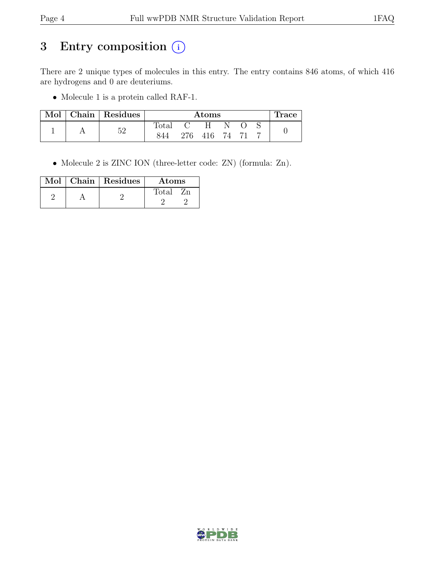## 3 Entry composition  $(i)$

There are 2 unique types of molecules in this entry. The entry contains 846 atoms, of which 416 are hydrogens and 0 are deuteriums.

• Molecule 1 is a protein called RAF-1.

| Mol | Chain Residues |                | Atoms |     |    |  | <b>Trace</b> |
|-----|----------------|----------------|-------|-----|----|--|--------------|
|     | ⊏ດ             | $_{\rm Total}$ |       | H   |    |  |              |
|     |                | 844            | 276   | 416 | 74 |  |              |

• Molecule 2 is ZINC ION (three-letter code: ZN) (formula: Zn).

|  | $Mol$   Chain   Residues | Atoms |
|--|--------------------------|-------|
|  |                          | Total |
|  |                          |       |

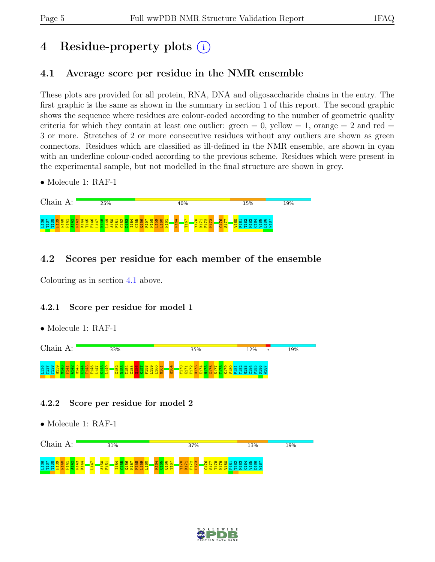## 4 Residue-property plots (i)

## <span id="page-4-0"></span>4.1 Average score per residue in the NMR ensemble

These plots are provided for all protein, RNA, DNA and oligosaccharide chains in the entry. The first graphic is the same as shown in the summary in section 1 of this report. The second graphic shows the sequence where residues are colour-coded according to the number of geometric quality criteria for which they contain at least one outlier:  $green = 0$ ,  $yellow = 1$ ,  $orange = 2$  and  $red =$ 3 or more. Stretches of 2 or more consecutive residues without any outliers are shown as green connectors. Residues which are classified as ill-defined in the NMR ensemble, are shown in cyan with an underline colour-coded according to the previous scheme. Residues which were present in the experimental sample, but not modelled in the final structure are shown in grey.

• Molecule 1: RAF-1



## 4.2 Scores per residue for each member of the ensemble

Colouring as in section [4.1](#page-4-0) above.

## 4.2.1 Score per residue for model 1





## 4.2.2 Score per residue for model 2



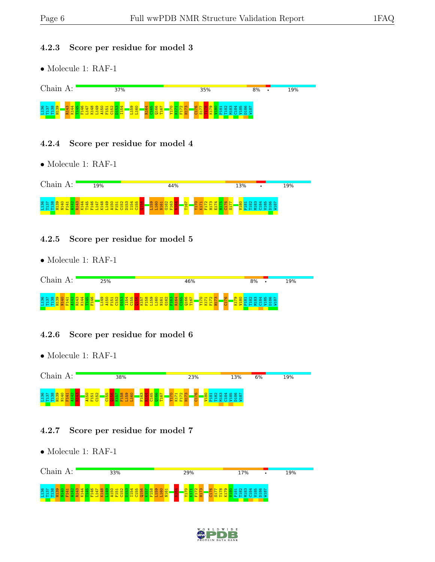#### 4.2.3 Score per residue for model 3

• Molecule 1: RAF-1



#### 4.2.4 Score per residue for model 4

• Molecule 1: RAF-1



#### 4.2.5 Score per residue for model 5

• Molecule 1: RAF-1



## 4.2.6 Score per residue for model 6

• Molecule 1: RAF-1



## 4.2.7 Score per residue for model 7



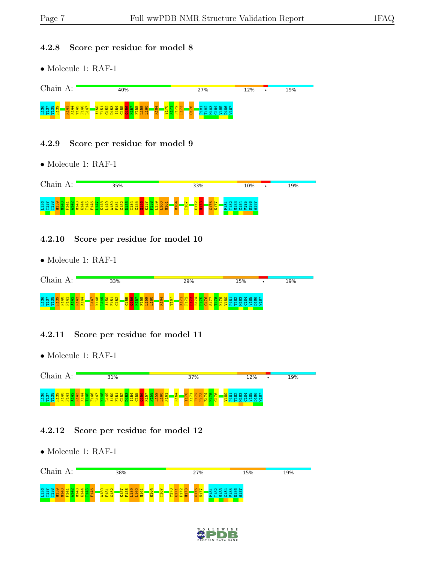## 4.2.8 Score per residue for model 8

• Molecule 1: RAF-1



#### 4.2.9 Score per residue for model 9

• Molecule 1: RAF-1



#### 4.2.10 Score per residue for model 10

• Molecule 1: RAF-1



## 4.2.11 Score per residue for model 11

• Molecule 1: RAF-1



## 4.2.12 Score per residue for model 12



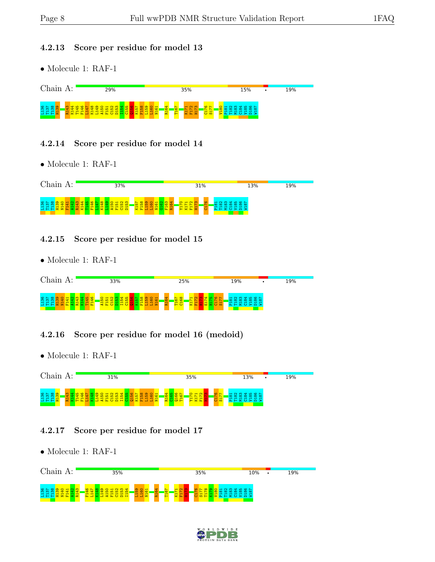#### 4.2.13 Score per residue for model 13

• Molecule 1: RAF-1



#### 4.2.14 Score per residue for model 14

• Molecule 1: RAF-1



#### 4.2.15 Score per residue for model 15

• Molecule 1: RAF-1



## 4.2.16 Score per residue for model 16 (medoid)

• Molecule 1: RAF-1



#### 4.2.17 Score per residue for model 17



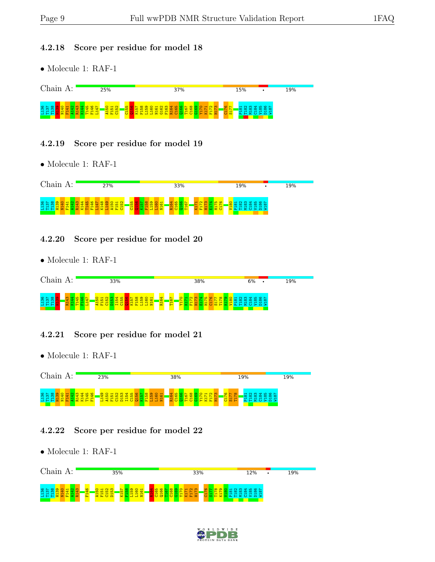#### 4.2.18 Score per residue for model 18

• Molecule 1: RAF-1



#### 4.2.19 Score per residue for model 19

• Molecule 1: RAF-1



#### 4.2.20 Score per residue for model 20

• Molecule 1: RAF-1



## 4.2.21 Score per residue for model 21

• Molecule 1: RAF-1



#### 4.2.22 Score per residue for model 22



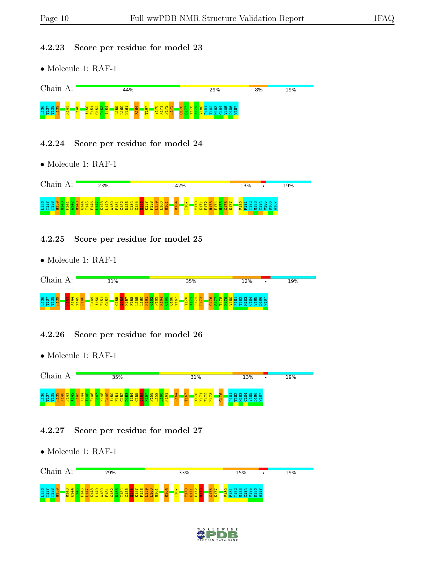#### 4.2.23 Score per residue for model 23

• Molecule 1: RAF-1



#### 4.2.24 Score per residue for model 24

• Molecule 1: RAF-1



#### 4.2.25 Score per residue for model 25

• Molecule 1: RAF-1



## 4.2.26 Score per residue for model 26

• Molecule 1: RAF-1



#### 4.2.27 Score per residue for model 27



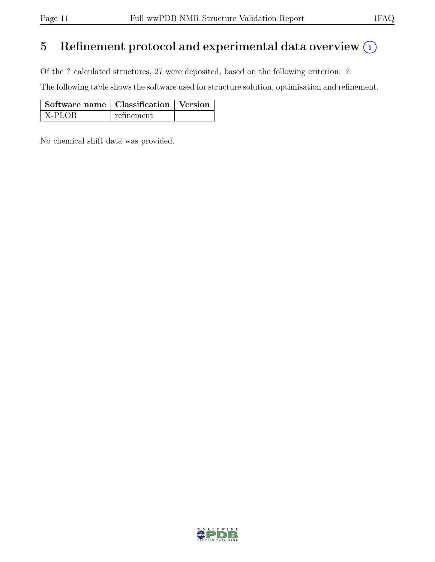## 5 Refinement protocol and experimental data overview  $(i)$

Of the ? calculated structures, 27 were deposited, based on the following criterion: ?.

The following table shows the software used for structure solution, optimisation and refinement.

| Software name   Classification   Version |            |  |
|------------------------------------------|------------|--|
| X-PLOR                                   | refinement |  |

No chemical shift data was provided.

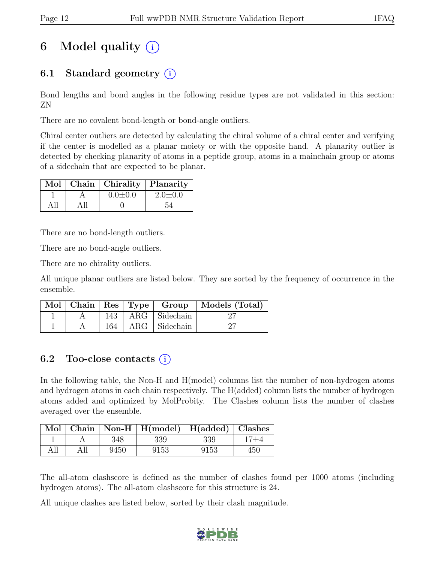## 6 Model quality  $(i)$

## 6.1 Standard geometry (i)

Bond lengths and bond angles in the following residue types are not validated in this section: ZN

There are no covalent bond-length or bond-angle outliers.

Chiral center outliers are detected by calculating the chiral volume of a chiral center and verifying if the center is modelled as a planar moiety or with the opposite hand. A planarity outlier is detected by checking planarity of atoms in a peptide group, atoms in a mainchain group or atoms of a sidechain that are expected to be planar.

|  | Mol   Chain   Chirality   Planarity |               |
|--|-------------------------------------|---------------|
|  | $0.0 \pm 0.0$                       | $2.0 \pm 0.0$ |
|  |                                     |               |

There are no bond-length outliers.

There are no bond-angle outliers.

There are no chirality outliers.

All unique planar outliers are listed below. They are sorted by the frequency of occurrence in the ensemble.

|  |     |                         | Mol   Chain   Res   Type   Group   Models (Total) |
|--|-----|-------------------------|---------------------------------------------------|
|  |     | $143$   ARG   Sidechain |                                                   |
|  | 164 | ARG   Sidechain         |                                                   |

## 6.2 Too-close contacts  $(i)$

In the following table, the Non-H and H(model) columns list the number of non-hydrogen atoms and hydrogen atoms in each chain respectively. The H(added) column lists the number of hydrogen atoms added and optimized by MolProbity. The Clashes column lists the number of clashes averaged over the ensemble.

|     |     |      | $\boxed{\text{Mol}$ Chain   Non-H   H(model)   H(added)   Clashes |      |          |
|-----|-----|------|-------------------------------------------------------------------|------|----------|
|     |     | 348  | 339                                                               | 339  | $17 + 4$ |
| All | All | 9450 | 9153                                                              | 9153 | 450      |

The all-atom clashscore is defined as the number of clashes found per 1000 atoms (including hydrogen atoms). The all-atom clashscore for this structure is 24.

All unique clashes are listed below, sorted by their clash magnitude.

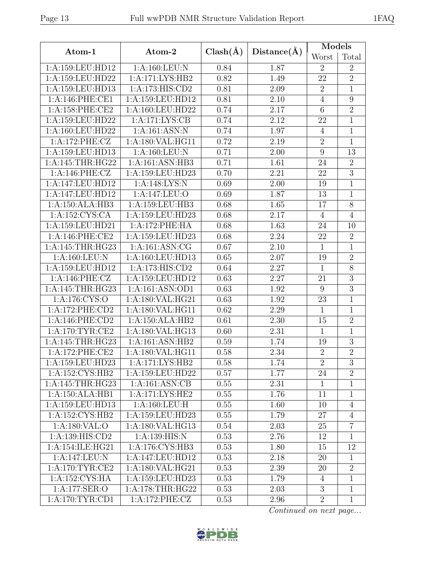|                                      |                               |              |                   | Models         |                |  |
|--------------------------------------|-------------------------------|--------------|-------------------|----------------|----------------|--|
| Atom-1                               | Atom-2                        | $Clash(\AA)$ | Distance(A)       | Worst          | Total          |  |
| 1:A:159:LEU:HD12                     | 1:A:160:LEU:N                 | 0.84         | 1.87              | $\overline{2}$ | $\overline{2}$ |  |
| 1:A:159:LEU:HD22                     | 1:A:171:LYS:HB2               | 0.82         | 1.49              | 22             | $\overline{2}$ |  |
| 1:A:159:LEU:HD13                     | 1: A:173:HIS:CD2              | 0.81         | 2.09              | $\sqrt{2}$     | $\mathbf{1}$   |  |
| $1:A:146:PHE: \overline{\text{CE1}}$ | 1:A:159:LEU:HD12              | 0.81         | 2.10              | $\overline{4}$ | $9\phantom{.}$ |  |
| 1: A: 158: PHE: CE2                  | 1:A:160:LEU:HD22              | 0.74         | 2.17              | $\,6$          | $\overline{2}$ |  |
| 1:A:159:LEU:HD22                     | 1:A:171:LYS:CB                | 0.74         | 2.12              | 22             | $\mathbf{1}$   |  |
| 1:A:160:LEU:HD22                     | 1:A:161:ASN:N                 | 0.74         | 1.97              | $\overline{4}$ | $\mathbf{1}$   |  |
| 1:A:172:PHE:CZ                       | 1:A:180:VAL:HG11              | 0.72         | 2.19              | $\sqrt{2}$     | $\overline{1}$ |  |
| 1:A:159:LEU:HD13                     | 1: A: 160: LEU: N             | 0.71         | 2.00              | 9              | 13             |  |
| 1:A:145:THR:HG22                     | $1: \overline{A:161:ASN:HB3}$ | 0.71         | 1.61              | 24             | $\overline{2}$ |  |
| 1:A:146:PHE:CZ                       | 1:A:159:LEU:HD23              | 0.70         | 2.21              | 22             | $\overline{3}$ |  |
| 1:A:147:LEU:HD12                     | 1:A:148:LYS:N                 | 0.69         | $\overline{2.00}$ | 19             | $\overline{1}$ |  |
| 1:A:147:LEU:HD12                     | 1:A:147:LEU:O                 | 0.69         | 1.87              | 13             | $\mathbf{1}$   |  |
| 1:A:150:ALA:HB3                      | 1:A:159:LEU:HB3               | 0.68         | 1.65              | 17             | $\overline{8}$ |  |
| 1:A:152:CYS:CA                       | 1:A:159:LEU:HD23              | 0.68         | 2.17              | $\overline{4}$ | $\overline{4}$ |  |
| 1:A:159:LEU:HD21                     | 1:A:172:PHE:HA                | 0.68         | 1.63              | 24             | 10             |  |
| 1: A:146: PHE:CE2                    | 1:A:159:LEU:HD23              | 0.68         | 2.24              | 22             | $\overline{2}$ |  |
| 1: A:145:THR:HG23                    | 1:A:161:ASN:CG                | 0.67         | 2.10              | $\mathbf{1}$   | $\mathbf{1}$   |  |
| 1:A:160:LEU:N                        | 1:A:160:LEU:HD13              | 0.65         | 2.07              | 19             | $\overline{2}$ |  |
| 1:A:159:LEU:HD12                     | 1:A:173:HIS:CD2               | 0.64         | 2.27              | 1              | $\overline{8}$ |  |
| 1:A:146:PHE:CZ                       | 1:A:159:LEU:HD12              | 0.63         | 2.27              | 21             | $\overline{3}$ |  |
| 1: A:145:THR:HG23                    | 1:A:161:ASN:OD1               | 0.63         | 1.92              | 9              | $\overline{3}$ |  |
| 1:A:176:CYS:O                        | 1:A:180:VAL:HG21              | 0.63         | 1.92              | 23             | $\mathbf{1}$   |  |
| 1:A:172:PHE:CD2                      | 1:A:180:VAL:HG11              | 0.62         | 2.29              | $\mathbf{1}$   | 1              |  |
| $1: A:146:$ PHE:CD2                  | 1:A:150:ALA:HB2               | 0.61         | 2.30              | 15             | $\overline{2}$ |  |
| 1:A:170:TYR:CE2                      | 1:A:180:VAL:HG13              | 0.60         | 2.31              | $\mathbf{1}$   | $\mathbf{1}$   |  |
| 1:A:145:THR:HG23                     | 1:A:161:ASN:HB2               | 0.59         | 1.74              | 19             | $\overline{3}$ |  |
| 1:A:172:PHE:CE2                      | 1:A:180:VAL:HG11              | 0.58         | 2.34              | $\overline{2}$ | $\overline{2}$ |  |
| 1:A:159:LEU:HD23                     | 1:A:171:LYS:HB2               | 0.58         | 1.74              | $\overline{2}$ | 3              |  |
| 1: A: 152: CYS: HB2                  | 1:A:159:LEU:HD22              | 0.57         | 1.77              | 24             | $\overline{2}$ |  |
| 1:A:145:THR:HG23                     | 1: A:161: ASN:CB              | 0.55         | 2.31              | $\mathbf{1}$   | $\mathbf{1}$   |  |
| 1:A:150:ALA:HB1                      | $1:A:\overline{171:LYS:HE2}$  | 0.55         | 1.76              | 11             | $\mathbf{1}$   |  |
| 1:A:159:LEU:HD13                     | 1: A:160:LEU:H                | 0.55         | 1.60              | 10             | $\overline{4}$ |  |
| 1: A: 152: CYS: HB2                  | 1:A:159:LEU:HD23              | 0.55         | 1.79              | 27             | $\overline{4}$ |  |
| 1:A:180:VAL:O                        | 1:A:180:VAL:HG13              | 0.54         | 2.03              | 25             | $\overline{7}$ |  |
| 1:A:139:HIS:CD2                      | 1: A: 139: HIS: N             | 0.53         | 2.76              | 12             | $\mathbf{1}$   |  |
| 1:A:154:ILE:HG21                     | 1: A:176: CYS:HB3             | 0.53         | 1.80              | 15             | 12             |  |
| 1:A:147:LEU:N                        | 1:A:147:LEU:HD12              | 0.53         | 2.18              | 20             | $\mathbf 1$    |  |
| 1: A:170: TYR: CE2                   | 1:A:180:VAL:HG21              | 0.53         | 2.39              | 20             | $\overline{2}$ |  |
| 1:A:152:CYS:HA                       | 1:A:159:LEU:HD23              | 0.53         | 1.79              | 4              | $\mathbf{1}$   |  |
| 1:A:177:SER:O                        | 1: A:178:THR:HG22             | 0.53         | 2.03              | 3              | $\mathbf{1}$   |  |
| 1: A:170: TYR: CD1                   | 1:A:172:PHE:CZ                | 0.53         | 2.96              | $\overline{2}$ | $\mathbf{1}$   |  |

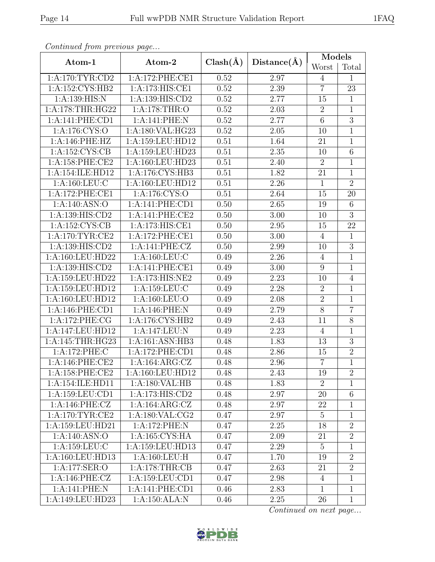| Continued from previous page  |                              |                   |             | Models          |                 |  |
|-------------------------------|------------------------------|-------------------|-------------|-----------------|-----------------|--|
| Atom-1                        | Atom-2                       | $Clash(\AA)$      | Distance(A) | Worst           | Total           |  |
| 1: A:170: TYR: CD2            | 1:A:172:PHE:CE1              | 0.52              | 2.97        | 4               | 1               |  |
| 1:A:152:CYS:HB2               | 1:A:173:HIS:CE1              | 0.52              | 2.39        | $\overline{7}$  | 23              |  |
| 1: A: 139: HIS: N             | 1:A:139:HIS:CD2              | 0.52              | 2.77        | 15              | $\mathbf{1}$    |  |
| 1: A:178:THR:HG22             | 1: A:178:THR:O               | 0.52              | 2.03        | $\overline{2}$  | $\mathbf{1}$    |  |
| 1: A:141: PHE:CD1             | 1:A:141:PHE:N                | 0.52              | 2.77        | $\,6$           | $\overline{3}$  |  |
| 1:A:176:CYS:O                 | 1:A:180:VAL:HG23             | 0.52              | 2.05        | 10              | $\overline{1}$  |  |
| 1:A:146:PHE:HZ                | 1:A:159:LEU:HD12             | 0.51              | 1.64        | 21              | $\mathbf{1}$    |  |
| 1:A:152:CYS:CB                | 1:A:159:LEU:HD23             | 0.51              | 2.35        | 10              | $\,6$           |  |
| 1: A: 158: PHE: CE2           | 1:A:160:LEU:HD23             | 0.51              | 2.40        | $\overline{2}$  | $\overline{1}$  |  |
| 1:A:154:ILE:HD12              | 1:A:176:CYS:HB3              | 0.51              | 1.82        | 21              | $\mathbf{1}$    |  |
| 1: A:160: LEU: C              | $1:$ A:160:LEU:HD12          | $\overline{0.51}$ | 2.26        | $\overline{1}$  | $\overline{2}$  |  |
| 1:A:172:PHE:CE1               | 1: A:176: CYS:O              | 0.51              | 2.64        | 15              | 20              |  |
| 1:A:140:ASN:O                 | 1: A:141: PHE:CD1            | 0.50              | 2.65        | 19              | $\overline{6}$  |  |
| 1:A:139:HIS:CD2               | 1:A:141:PHE:CE2              | 0.50              | 3.00        | 10              | $\overline{3}$  |  |
| 1:A:152:CYS:CB                | 1:A:173:HIS:CE1              | 0.50              | 2.95        | 15              | $\overline{22}$ |  |
| 1: A:170: TYR: CE2            | 1:A:172:PHE:CE1              | 0.50              | 3.00        | $\overline{4}$  | $\mathbf 1$     |  |
| 1:A:139:HIS:CD2               | 1:A:141:PHE:CZ               | 0.50              | 2.99        | 10              | $\overline{3}$  |  |
| 1:A:160:LEU:HD22              | 1:A:160:LEU:C                | 0.49              | 2.26        | 4               | $\mathbf{1}$    |  |
| 1:A:139:HIS:CD2               | 1:A:141:PHE:CE1              | 0.49              | 3.00        | $9\phantom{.0}$ | $\overline{1}$  |  |
| 1:A:159:LEU:HD22              | 1:A:173:HIS:NE2              | 0.49              | 2.23        | 10              | $\overline{4}$  |  |
| 1:A:159:LEU:HD12              | 1:A:159:LEU:C                | 0.49              | 2.28        | $\overline{2}$  | $\overline{1}$  |  |
| 1:A:160:LEU:HD12              | 1:A:160:LEU:O                | 0.49              | $2.08\,$    | $\sqrt{2}$      | $\mathbf{1}$    |  |
| 1:A:146:PHE:CD1               | 1:A:146:PHE:N                | 0.49              | 2.79        | $\overline{8}$  | $\overline{7}$  |  |
| 1:A:172:PHE:CG                | 1: A:176: CYS:HB2            | 0.49              | 2.43        | 11              | $\overline{8}$  |  |
| 1:A:147:LEU:HD12              | 1:A:147:LEU:N                | 0.49              | 2.23        | $\overline{4}$  | $\mathbf{1}$    |  |
| 1: A:145:THR:HG23             | $1:A:161:A\overline{SN:HB3}$ | 0.48              | 1.83        | 13              | $\overline{3}$  |  |
| 1:A:172:PHE:C                 | 1: A:172: PHE:CD1            | 0.48              | 2.86        | 15              | $\overline{2}$  |  |
| 1:A:146:PHE:CE2               | 1:A:164:ARG:CZ               | 0.48              | 2.96        | $\overline{7}$  | $\overline{1}$  |  |
| 1: A: 158: PHE: CE2           | 1:A:160:LEU:HD12             | 0.48              | 2.43        | 19              | $\overline{2}$  |  |
| 1:A:154:ILE:HD11              | 1:A:180:VAL:HB               | 0.48              | 1.83        | $\overline{2}$  | $\mathbf{1}$    |  |
| 1: A: 159: LEU: CD1           | 1:A:173:HIS:CD2              | 0.48              | 2.97        | 20              | $6\,$           |  |
| 1:A:146:PHE:CZ                | 1:A:164:ARG:CZ               | 0.48              | 2.97        | 22              | 1               |  |
| 1: A:170: TYR: CE2            | 1: A:180: VAL: CG2           | 0.47              | 2.97        | $\overline{5}$  | 1               |  |
| $1:A:159:LEU:H\overline{D21}$ | 1:A:172:PHE:N                | 0.47              | 2.25        | 18              | $\overline{2}$  |  |
| 1:A:140:ASN:O                 | 1:A:165:CYS:HA               | 0.47              | 2.09        | 21              | $\overline{2}$  |  |
| 1: A: 159: LEU: C             | 1:A:159:LEU:HD13             | 0.47              | 2.29        | $\overline{5}$  | $\overline{1}$  |  |
| 1:A:160:LEU:HD13              | 1: A: 160: LEU: H            | 0.47              | 1.70        | 19              | $\overline{2}$  |  |
| 1:A:177:SER:O                 | 1: A:178:THR:CB              | 0.47              | 2.63        | 21              | $\overline{2}$  |  |
| 1:A:146:PHE:CZ                | 1:A:159:LEU:CD1              | 0.47              | 2.98        | $\overline{4}$  | $\mathbf{1}$    |  |
| 1:A:141:PHE:N                 | 1:A:141:PHE:CD1              | 0.46              | 2.83        | $\mathbf{1}$    | $\overline{1}$  |  |
| 1:A:149:LEU:HD23              | 1:A:150:ALA:N                | 0.46              | 2.25        | 26              | $\mathbf{1}$    |  |

Continued from previous page.

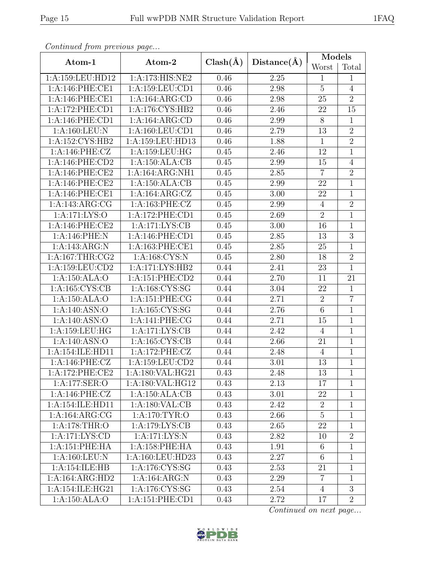|                     | $\overline{v}$      |              |             | Models          |                |  |
|---------------------|---------------------|--------------|-------------|-----------------|----------------|--|
| Atom-1              | Atom-2              | $Clash(\AA)$ | Distance(A) | Worst           | Total          |  |
| 1:A:159:LEU:HD12    | 1:A:173:HIS:NE2     | 0.46         | 2.25        | $\mathbf{1}$    | $\mathbf{1}$   |  |
| 1:A:146:PHE:CE1     | 1:A:159:LEU:CD1     | 0.46         | 2.98        | $\overline{5}$  | $\overline{4}$ |  |
| 1: A:146: PHE:CE1   | 1:A:164:ARG:CD      | 0.46         | 2.98        | $25\,$          | $\overline{2}$ |  |
| 1:A:172:PHE:CD1     | 1: A:176: CYS:HB2   | 0.46         | 2.46        | 22              | 15             |  |
| 1:A:146:PHE:CD1     | 1:A:164:ARG:CD      | 0.46         | 2.99        | $8\,$           | $\mathbf{1}$   |  |
| 1: A:160:LEU: N     | 1: A: 160: LEU: CD1 | 0.46         | 2.79        | 13              | $\overline{2}$ |  |
| 1: A: 152: CYS: HB2 | 1:A:159:LEU:HD13    | 0.46         | 1.88        | $\mathbf{1}$    | $\overline{2}$ |  |
| 1:A:146:PHE:CZ      | 1:A:159:LEU:HG      | 0.45         | 2.46        | $12\,$          | $\overline{1}$ |  |
| 1: A:146: PHE:CD2   | 1:A:150:ALA:CB      | 0.45         | 2.99        | 15              | $\overline{4}$ |  |
| 1:A:146:PHE:CE2     | 1:A:164:ARG:NH1     | 0.45         | 2.85        | $\overline{7}$  | $\overline{2}$ |  |
| 1:A:146:PHE:CE2     | 1:A:150:ALA:CB      | 0.45         | 2.99        | $22\,$          | $\mathbf 1$    |  |
| 1:A:146:PHE:CE1     | 1:A:164:ARG:CZ      | 0.45         | 3.00        | 22              | $\mathbf{1}$   |  |
| 1:A:143:ARG:CG      | 1: A: 163: PHE: CZ  | 0.45         | 2.99        | $\overline{4}$  | $\overline{2}$ |  |
| 1:A:171:LYS:O       | 1:A:172:PHE:CD1     | 0.45         | 2.69        | $\overline{2}$  | $\overline{1}$ |  |
| 1: A:146: PHE:CE2   | 1:A:171:LYS:CB      | 0.45         | 3.00        | 16              | $\mathbf{1}$   |  |
| 1:A:146:PHE:N       | 1:A:146:PHE:CD1     | 0.45         | 2.85        | 13              | $\overline{3}$ |  |
| 1:A:143:ARG:N       | 1: A: 163: PHE: CE1 | 0.45         | 2.85        | 25              | $1\,$          |  |
| 1: A:167:THR:CG2    | 1:A:168:CYS:N       | 0.45         | 2.80        | 18              | $\overline{2}$ |  |
| 1:A:159:LEU:CD2     | 1:A:171:LYS:HB2     | 0.44         | 2.41        | 23              | $\overline{1}$ |  |
| 1:A:150:ALA:O       | 1:A:151:PHE:CD2     | 0.44         | 2.70        | 11              | 21             |  |
| 1: A: 165: CYS: CB  | 1:A:168:CYS:SG      | 0.44         | 3.04        | 22              | $\mathbf{1}$   |  |
| 1:A:150:ALA:O       | 1:A:151:PHE:CG      | 0.44         | 2.71        | $\overline{2}$  | $\overline{7}$ |  |
| 1:A:140:ASN:O       | 1: A: 165: CYS: SG  | 0.44         | 2.76        | $\overline{6}$  | $\mathbf{1}$   |  |
| 1:A:140:ASN:O       | 1:A:141:PHE:CG      | 0.44         | 2.71        | 15              | $\mathbf{1}$   |  |
| 1:A:159:LEU:HG      | 1:A:171:LYS:CB      | 0.44         | 2.42        | $\overline{4}$  | $\mathbf{1}$   |  |
| 1:A:140:ASN:O       | 1:A:165:CYS:CB      | 0.44         | 2.66        | 21              | $\mathbf{1}$   |  |
| 1:A:154:ILE:HD11    | 1:A:172:PHE:CZ      | 0.44         | 2.48        | $\overline{4}$  | $\mathbf{1}$   |  |
| 1:A:146:PHE:CZ      | 1:A:159:LEU:CD2     | 0.44         | 3.01        | 13              | $\overline{1}$ |  |
| 1:A:172:PHE:CE2     | 1: A:180: VAL: HG21 | 0.43         | 2.48        | 13              | $\mathbf{1}$   |  |
| 1:A:177:SER:O       | 1: A:180: VAL: HG12 | 0.43         | 2.13        | 17              | 1              |  |
| 1:A:146:PHE:CZ      | 1:A:150:ALA:CB      | 0.43         | 3.01        | 22              | $\mathbf{1}$   |  |
| 1:A:154:ILE:HD11    | 1: A:180: VAL:CB    | 0.43         | 2.42        | $\overline{2}$  | $\mathbf{1}$   |  |
| 1:A:164:ARG:CG      | 1: A:170: TYR:O     | 0.43         | 2.66        | $\overline{5}$  | $\mathbf{1}$   |  |
| 1:A:178:THR:O       | 1:A:179:LYS:CB      | 0.43         | 2.65        | 22              | 1              |  |
| 1: A:171: LYS: CD   | 1:A:171:LYS:N       | 0.43         | 2.82        | 10              | $\overline{2}$ |  |
| 1:A:151:PHE:HA      | 1:A:158:PHE:HA      | 0.43         | 1.91        | $6\phantom{.}6$ | $\mathbf{1}$   |  |
| 1: A:160: LEU: N    | 1:A:160:LEU:HD23    | 0.43         | 2.27        | 6               | $\mathbf{1}$   |  |
| 1:A:154:ILE:HB      | 1:A:176:CYS:SG      | 0.43         | 2.53        | 21              | 1              |  |
| 1:A:164:ARG:HD2     | 1:A:164:ARG:N       | 0.43         | 2.29        | $\overline{7}$  | $\mathbf{1}$   |  |
| 1:A:154:ILE:HG21    | 1:A:176:CYS:SG      | 0.43         | 2.54        | $\overline{4}$  | 3              |  |
| 1:A:150:ALA:O       | 1:A:151:PHE:CD1     | 0.43         | 2.72        | 17              | $\overline{2}$ |  |

Continued from previous page...

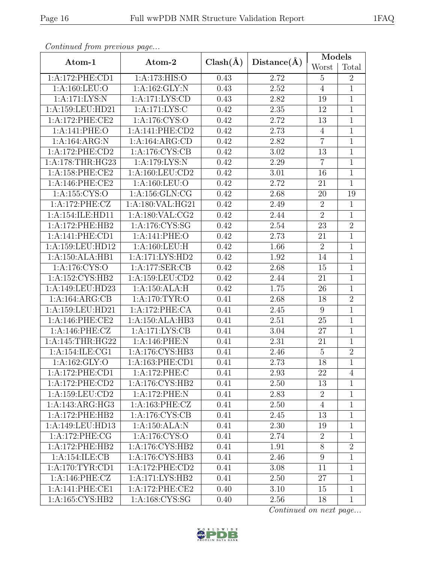|                                        |                                      | $Clash(\AA)$ |                   | Models         |                  |  |
|----------------------------------------|--------------------------------------|--------------|-------------------|----------------|------------------|--|
|                                        | Atom-1<br>Atom-2                     |              | Distance(A)       | Worst          | Total            |  |
| 1:A:172:PHE:CD1                        | 1:A:173:HIS:O                        | 0.43         | 2.72              | $\overline{5}$ | $\overline{2}$   |  |
| 1: A: 160: LEU: O                      | 1:A:162:GLY:N                        | 0.43         | $2.52\,$          | $\overline{4}$ | $\mathbf{1}$     |  |
| 1:A:171:LYS:N                          | 1:A:171:LYS:CD                       | 0.43         | 2.82              | 19             | $\mathbf{1}$     |  |
| 1:A:159:LEU:HD21                       | 1:A:171:LYS:C                        | 0.42         | 2.35              | $12\,$         | $\overline{1}$   |  |
| 1:A:172:PHE:CE2                        | 1:A:176:CYS:O                        | 0.42         | 2.72              | 13             | $\mathbf{1}$     |  |
| 1:A:141:PHE:O                          | 1:A:141:PHE:CD2                      | 0.42         | $\overline{2.73}$ | $\overline{4}$ | $\overline{1}$   |  |
| 1:A:164:ARG:N                          | 1:A:164:ARG:CD                       | 0.42         | 2.82              | $\overline{7}$ | $\mathbf{1}$     |  |
| 1:A:172:PHE:CD2                        | $1: A:176: \overline{\text{CYS:CB}}$ | 0.42         | $3.02\,$          | 13             | $\mathbf{1}$     |  |
| 1:A:178:THR:HG23                       | 1:A:179:LYS:N                        | 0.42         | 2.29              | $\overline{7}$ | $\mathbf 1$      |  |
| 1: A:158: PHE:CE2                      | $1:$ A:160:LEU:CD2                   | 0.42         | 3.01              | 16             | $\mathbf 1$      |  |
| 1: A:146: PHE:CE2                      | $1: A: 160: \overline{\text{LEU:O}}$ | 0.42         | 2.72              | 21             | $\mathbf{1}$     |  |
| 1:A:155:CYS:O                          | 1: A: 156: GLN: CG                   | 0.42         | 2.68              | $20\,$         | 19               |  |
| 1:A:172:PHE:CZ                         | 1:A:180:VAL:HG21                     | 0.42         | 2.49              | $\sqrt{2}$     | $\mathbf{1}$     |  |
| 1:A:154:ILE:HD11                       | 1:A:180:VAL:CG2                      | 0.42         | 2.44              | $\overline{2}$ | $\mathbf{1}$     |  |
| 1:A:172:PHE:HB2                        | 1:A:176:CYS:SG                       | 0.42         | 2.54              | 23             | $\boldsymbol{2}$ |  |
| 1:A:141:PHE:CD1                        | 1:A:141:PHE:O                        | 0.42         | 2.73              | 21             | $\mathbf{1}$     |  |
| 1: A: 159: LEU: HD12                   | 1: A:160: LEU:H                      | 0.42         | 1.66              | $\overline{2}$ | $\mathbf{1}$     |  |
| 1:A:150:ALA:HB1                        | 1:A:171:LYS:HD2                      | 0.42         | $1.92\,$          | 14             | $\mathbf{1}$     |  |
| 1:A:176:CYS:O                          | 1:A:177:SER:CB                       | 0.42         | 2.68              | 15             | $\mathbf{1}$     |  |
| 1:A:152:CYS:HB2                        | 1:A:159:LEU:CD2                      | 0.42         | 2.44              | 21             | $\mathbf{1}$     |  |
| 1:A:149:LEU:HD23                       | 1:A:150:ALA:H                        | 0.42         | 1.75              | 26             | $\mathbf{1}$     |  |
| 1:A:164:ARG:CB                         | 1: A:170: TYR:O                      | 0.41         | 2.68              | 18             | $\overline{2}$   |  |
| $1: A:159: \overline{\text{LEU:HD21}}$ | 1:A:172:PHE:CA                       | 0.41         | 2.45              | $\overline{9}$ | $\overline{1}$   |  |
| 1:A:146:PHE:CE2                        | 1:A:150:ALA:HB3                      | 0.41         | 2.51              | 25             | $\mathbf{1}$     |  |
| 1:A:146:PHE:CZ                         | 1:A:171:LYS:CB                       | 0.41         | 3.04              | $27\,$         | $\mathbf{1}$     |  |
| 1: A:145:THR:HG22                      | 1:A:146:PHE:N                        | 0.41         | 2.31              | 21             | $\mathbf{1}$     |  |
| 1: A:154: ILE:CG1                      | 1:A:176:CYS:HB3                      | 0.41         | 2.46              | $\overline{5}$ | $\overline{2}$   |  |
| 1:A:162:GLY:O                          | 1:A:163:PHE:CD1                      | 0.41         | 2.73              | 18             | $\mathbf{1}$     |  |
| 1:A:172:PHE:CD1                        | 1: A:172: PHE: C                     | 0.41         | 2.93              | 22             | 4                |  |
| 1:A:172:PHE:CD2                        | 1:A:176:CYS:HB2                      | 0.41         | 2.50              | 13             | 1                |  |
| 1: A: 159: LEU: CD2                    | 1:A:172:PHE:N                        | 0.41         | 2.83              | $\overline{2}$ | 1                |  |
| 1:A:143:ARG:HG3                        | 1:A:163:PHE:CZ                       | 0.41         | 2.50              | $\overline{4}$ | 1                |  |
| 1:A:172:PHE:HB2                        | 1: A:176: CYS:CB                     | 0.41         | 2.45              | 13             | $\mathbf{1}$     |  |
| 1:A:149:LEU:HD13                       | 1:A:150:ALA:N                        | 0.41         | 2.30              | 19             | 1                |  |
| 1:A:172:PHE:CG                         | 1: A:176: CYS:O                      | 0.41         | 2.74              | $\overline{2}$ | 1                |  |
| 1:A:172:PHE:HB2                        | 1: A:176: CYS:HB2                    | 0.41         | 1.91              | 8              | $\overline{2}$   |  |
| 1:A:154:ILE:CB                         | 1:A:176:CYS:HB3                      | 0.41         | 2.46              | 9              | $\mathbf{1}$     |  |
| 1: A:170: TYR: CD1                     | 1:A:172:PHE:CD2                      | 0.41         | 3.08              | 11             | 1                |  |
| 1: A:146: PHE: CZ                      | 1:A:171:LYS:HB2                      | 0.41         | 2.50              | 27             | 1                |  |
| 1:A:141:PHE:CE1                        | 1:A:172:PHE:CE2                      | 0.40         | 3.10              | 15             | $\mathbf{1}$     |  |
| 1:A:165:CYS:HB2                        | 1:A:168:CYS:SG                       | 0.40         | 2.56              | 18             | $\mathbf{1}$     |  |

Continued from previous page...

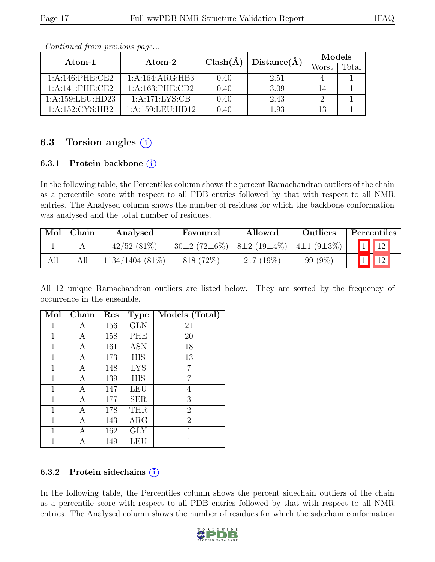| Atom-1              | Atom-2            | $Clash(\AA)$ | Distance(A) | Models |       |  |
|---------------------|-------------------|--------------|-------------|--------|-------|--|
|                     |                   |              |             | Worst  | Total |  |
| $1: A:146:$ PHE:CE2 | 1:A:164:ARG:HB3   | 0.40         | 2.51        |        |       |  |
| 1:A:141:PHE:CE2     | 1:A:163:PHE:CD2   | 0.40         | 3.09        |        |       |  |
| 1:A:159:LEU:HD23    | 1: A:171: LYS: CB | 0.40         | 2.43        |        |       |  |
| 1: A:152: CYS:HB2   | 1:A:159:LEU:HD12  | 0.40         | 1.93        | 13     |       |  |

Continued from previous page...

## 6.3 Torsion angles  $(i)$

## 6.3.1 Protein backbone  $(i)$

In the following table, the Percentiles column shows the percent Ramachandran outliers of the chain as a percentile score with respect to all PDB entries followed by that with respect to all NMR entries. The Analysed column shows the number of residues for which the backbone conformation was analysed and the total number of residues.

| Mol | Chain | Analysed          | Favoured           | Allowed           | Outliers                    | Percentiles |  |
|-----|-------|-------------------|--------------------|-------------------|-----------------------------|-------------|--|
|     |       | 42/52(81%)        | $30\pm2(72\pm6\%)$ | $8\pm2(19\pm4\%)$ | $\pm 4\pm 1$ (9 $\pm 3\%$ ) |             |  |
| All |       | $1134/1404(81\%)$ | 818 (72\%)         | $217(19\%)$       | $99(9\%)$                   |             |  |

All 12 unique Ramachandran outliers are listed below. They are sorted by the frequency of occurrence in the ensemble.

| Mol         | Chain | Res | <b>Type</b> | Models (Total) |
|-------------|-------|-----|-------------|----------------|
| 1           | Α     | 156 | <b>GLN</b>  | 21             |
| 1           | А     | 158 | PHE         | 20             |
| 1           | А     | 161 | <b>ASN</b>  | 18             |
| 1           | А     | 173 | <b>HIS</b>  | 13             |
| $\mathbf 1$ | Α     | 148 | <b>LYS</b>  | 7              |
| 1           | А     | 139 | <b>HIS</b>  | 7              |
| $\mathbf 1$ | Α     | 147 | LEU         | 4              |
| 1           | Α     | 177 | <b>SER</b>  | 3              |
| 1           | А     | 178 | <b>THR</b>  | $\overline{2}$ |
| 1           | А     | 143 | $\rm{ARG}$  | $\overline{2}$ |
| 1           | А     | 162 | <b>GLY</b>  | $\mathbf{1}$   |
|             |       | 149 | LEU         | 1              |

## 6.3.2 Protein sidechains  $(i)$

In the following table, the Percentiles column shows the percent sidechain outliers of the chain as a percentile score with respect to all PDB entries followed by that with respect to all NMR entries. The Analysed column shows the number of residues for which the sidechain conformation

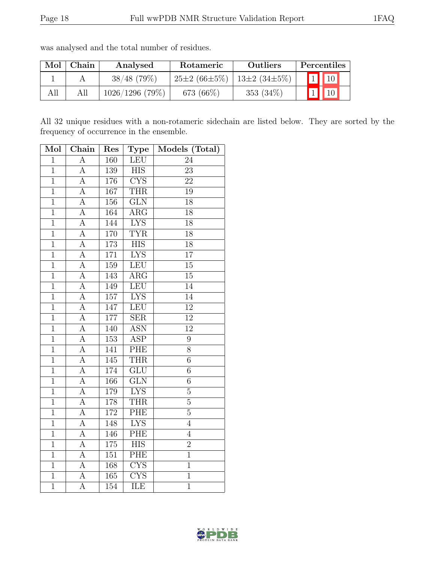| Mol | Chain | Analysed       | Rotameric                               | Outliers    | Percentiles  |
|-----|-------|----------------|-----------------------------------------|-------------|--------------|
|     |       | $38/48$ (79\%) | $25\pm2(66\pm5\%)$   $13\pm2(34\pm5\%)$ |             | $\boxed{10}$ |
| All |       | 1026/1296(79%) | 673 $(66\%)$                            | $353(34\%)$ |              |

was analysed and the total number of residues.

All 32 unique residues with a non-rotameric sidechain are listed below. They are sorted by the frequency of occurrence in the ensemble.

| Mol            | Chain              | Res              | <b>Type</b>             | Models (Total)  |
|----------------|--------------------|------------------|-------------------------|-----------------|
| $\mathbf{1}$   | А                  | $\overline{160}$ | LEU                     | 24              |
| $\overline{1}$ | $\overline{A}$     | 139              | <b>HIS</b>              | $\overline{23}$ |
| $\mathbf{1}$   | A                  | 176              | $\overline{\text{CYS}}$ | 22              |
| $\overline{1}$ | $\overline{A}$     | 167              | <b>THR</b>              | 19              |
| $\overline{1}$ | A                  | 156              | $\overline{\text{GLN}}$ | 18              |
| $\overline{1}$ | $\overline{A}$     | 164              | $\overline{\rm{ARG}}$   | $\overline{18}$ |
| $\overline{1}$ | A                  | 144              | <b>LYS</b>              | 18              |
| $\mathbf{1}$   | A                  | 170              | <b>TYR</b>              | 18              |
| $\overline{1}$ | A                  | 173              | <b>HIS</b>              | 18              |
| $\mathbf{1}$   | A                  | 171              | <b>LYS</b>              | $\overline{17}$ |
| $\overline{1}$ | $\overline{A}$     | 159              | <b>LEU</b>              | $\overline{15}$ |
| $\mathbf{1}$   | A                  | 143              | $\rm{ARG}$              | 15              |
| $\overline{1}$ | $\overline{A}$     | 149              | LEU                     | 14              |
| $\overline{1}$ | $\overline{\rm A}$ | $\overline{157}$ | <b>LYS</b>              | 14              |
| $\overline{1}$ | A                  | 147              | LEU                     | $\overline{12}$ |
| $\mathbf{1}$   | $\overline{A}$     | 177              | SER                     | $\overline{12}$ |
| $\mathbf{1}$   | A                  | 140              | $A\overline{SN}$        | $\overline{12}$ |
| $\overline{1}$ | $\overline{A}$     | $\overline{153}$ | <b>ASP</b>              | $\overline{9}$  |
| $\mathbf{1}$   | А                  | 141              | PHE                     | 8               |
| $\mathbf{1}$   | A                  | 145              | <b>THR</b>              | $\sqrt{6}$      |
| $\overline{1}$ | А                  | 174              | $\overline{\text{GLU}}$ | $\overline{6}$  |
| $\overline{1}$ | $\overline{\rm A}$ | 166              | $\overline{\text{GLN}}$ | $\overline{6}$  |
| $\overline{1}$ | А                  | 179              | <b>LYS</b>              | $\overline{5}$  |
| $\mathbf{1}$   | $\overline{A}$     | 178              | <b>THR</b>              | $\overline{5}$  |
| $\overline{1}$ | A                  | 172              | <b>PHE</b>              | $\overline{5}$  |
| $\overline{1}$ | $\overline{A}$     | 148              | <b>LYS</b>              | $\overline{4}$  |
| $\mathbf{1}$   | А                  | 146              | PHE                     | $\overline{4}$  |
| $\mathbf{1}$   | $\overline{A}$     | 175              | <b>HIS</b>              | $\overline{2}$  |
| $\mathbf 1$    | A                  | 151              | PHE                     | $\mathbf{1}$    |
| $\overline{1}$ | $\overline{A}$     | 168              | $\overline{\text{CYS}}$ | $\overline{1}$  |
| $\mathbf 1$    | A                  | 165              | <b>CYS</b>              | $\mathbf{1}$    |
| $\mathbf{1}$   | А                  | 154              | ILE                     | $\mathbf{1}$    |

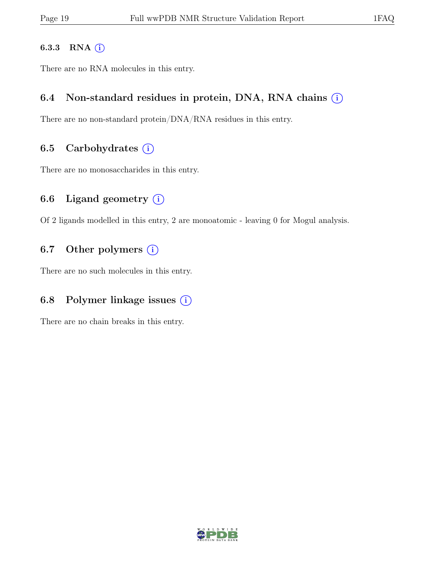## 6.3.3 RNA  $(i)$

There are no RNA molecules in this entry.

## 6.4 Non-standard residues in protein, DNA, RNA chains  $(i)$

There are no non-standard protein/DNA/RNA residues in this entry.

## 6.5 Carbohydrates  $(i)$

There are no monosaccharides in this entry.

## 6.6 Ligand geometry  $(i)$

Of 2 ligands modelled in this entry, 2 are monoatomic - leaving 0 for Mogul analysis.

## 6.7 Other polymers  $(i)$

There are no such molecules in this entry.

## 6.8 Polymer linkage issues  $(i)$

There are no chain breaks in this entry.